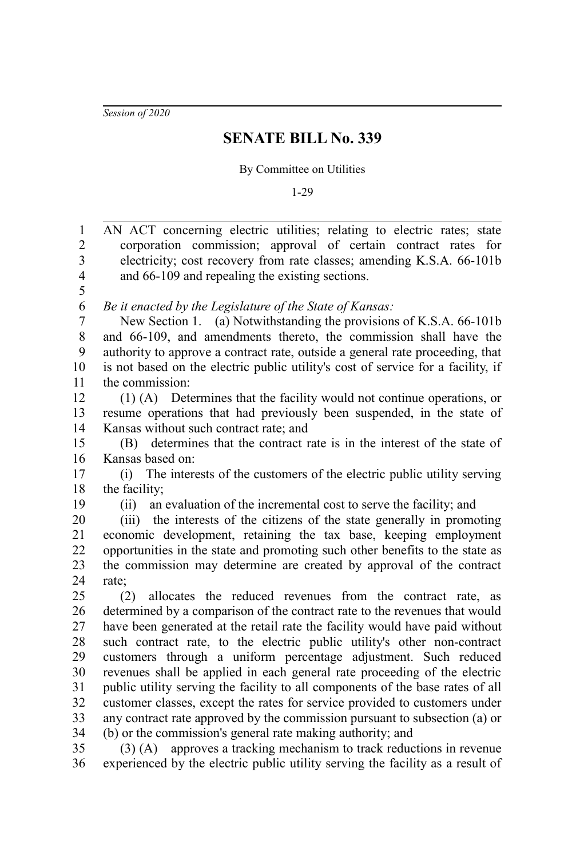*Session of 2020*

## **SENATE BILL No. 339**

## By Committee on Utilities

1-29

| $\mathbf{1}$     | AN ACT concerning electric utilities; relating to electric rates; state          |
|------------------|----------------------------------------------------------------------------------|
| $\overline{c}$   | corporation commission; approval of certain contract rates for                   |
| 3                | electricity; cost recovery from rate classes; amending K.S.A. 66-101b            |
| $\overline{4}$   | and 66-109 and repealing the existing sections.                                  |
| 5                |                                                                                  |
| 6                | Be it enacted by the Legislature of the State of Kansas:                         |
| $\boldsymbol{7}$ | New Section 1. (a) Notwithstanding the provisions of K.S.A. 66-101b              |
| 8                | and 66-109, and amendments thereto, the commission shall have the                |
| 9                | authority to approve a contract rate, outside a general rate proceeding, that    |
| 10               | is not based on the electric public utility's cost of service for a facility, if |
| 11               | the commission:                                                                  |
| 12               | (1) (A) Determines that the facility would not continue operations, or           |
| 13               | resume operations that had previously been suspended, in the state of            |
| 14               | Kansas without such contract rate; and                                           |
| 15               | determines that the contract rate is in the interest of the state of<br>(B)      |
| 16               | Kansas based on:                                                                 |
| 17               | (i) The interests of the customers of the electric public utility serving        |
| 18               | the facility;                                                                    |
| 19               | an evaluation of the incremental cost to serve the facility; and<br>(ii)         |
| 20               | (iii) the interests of the citizens of the state generally in promoting          |
| 21               | economic development, retaining the tax base, keeping employment                 |
| 22               | opportunities in the state and promoting such other benefits to the state as     |
| 23               | the commission may determine are created by approval of the contract             |
| 24               | rate:                                                                            |
| 25               | allocates the reduced revenues from the contract rate, as<br>(2)                 |
| 26               | determined by a comparison of the contract rate to the revenues that would       |
| 27               | have been generated at the retail rate the facility would have paid without      |
| 28               | such contract rate, to the electric public utility's other non-contract          |
| 29               | customers through a uniform percentage adjustment. Such reduced                  |
| 30               | revenues shall be applied in each general rate proceeding of the electric        |
| 31               | public utility serving the facility to all components of the base rates of all   |
| 32               | customer classes, except the rates for service provided to customers under       |
| 33               | any contract rate approved by the commission pursuant to subsection (a) or       |
| 34               | (b) or the commission's general rate making authority; and                       |
| 35               | $(3)$ (A) approves a tracking mechanism to track reductions in revenue           |
| 36               | experienced by the electric public utility serving the facility as a result of   |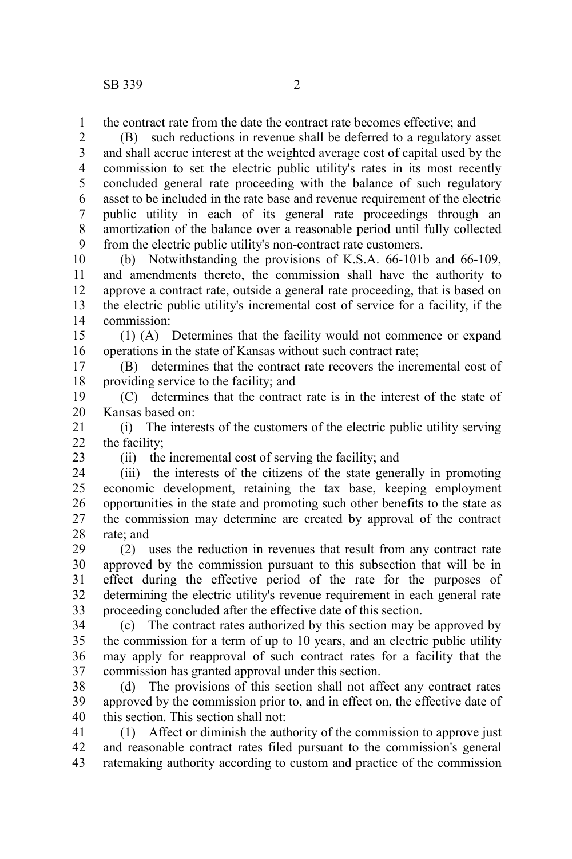the contract rate from the date the contract rate becomes effective; and 1

(B) such reductions in revenue shall be deferred to a regulatory asset and shall accrue interest at the weighted average cost of capital used by the commission to set the electric public utility's rates in its most recently concluded general rate proceeding with the balance of such regulatory asset to be included in the rate base and revenue requirement of the electric public utility in each of its general rate proceedings through an amortization of the balance over a reasonable period until fully collected from the electric public utility's non-contract rate customers. 2 3 4 5 6 7 8 9

(b) Notwithstanding the provisions of K.S.A. 66-101b and 66-109, and amendments thereto, the commission shall have the authority to approve a contract rate, outside a general rate proceeding, that is based on the electric public utility's incremental cost of service for a facility, if the commission: 10 11 12 13 14

(1) (A) Determines that the facility would not commence or expand operations in the state of Kansas without such contract rate; 15 16

(B) determines that the contract rate recovers the incremental cost of providing service to the facility; and 17 18

(C) determines that the contract rate is in the interest of the state of Kansas based on: 19 20

(i) The interests of the customers of the electric public utility serving the facility; 21  $22$ 

23

(ii) the incremental cost of serving the facility; and

(iii) the interests of the citizens of the state generally in promoting economic development, retaining the tax base, keeping employment opportunities in the state and promoting such other benefits to the state as the commission may determine are created by approval of the contract rate; and 24 25 26 27 28

(2) uses the reduction in revenues that result from any contract rate approved by the commission pursuant to this subsection that will be in effect during the effective period of the rate for the purposes of determining the electric utility's revenue requirement in each general rate proceeding concluded after the effective date of this section. 29 30 31 32 33

(c) The contract rates authorized by this section may be approved by the commission for a term of up to 10 years, and an electric public utility may apply for reapproval of such contract rates for a facility that the commission has granted approval under this section. 34 35 36 37

(d) The provisions of this section shall not affect any contract rates approved by the commission prior to, and in effect on, the effective date of this section. This section shall not: 38 39 40

(1) Affect or diminish the authority of the commission to approve just and reasonable contract rates filed pursuant to the commission's general ratemaking authority according to custom and practice of the commission 41 42 43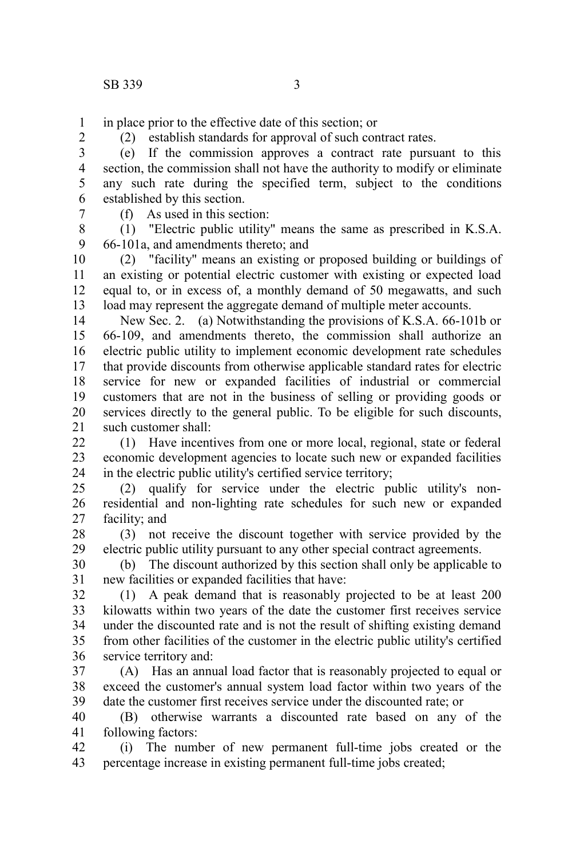in place prior to the effective date of this section; or

1 2

7

(2) establish standards for approval of such contract rates.

(e) If the commission approves a contract rate pursuant to this section, the commission shall not have the authority to modify or eliminate any such rate during the specified term, subject to the conditions established by this section. 3 4 5 6

(f) As used in this section:

(1) "Electric public utility" means the same as prescribed in K.S.A. 66-101a, and amendments thereto; and 8 9

(2) "facility" means an existing or proposed building or buildings of an existing or potential electric customer with existing or expected load equal to, or in excess of, a monthly demand of 50 megawatts, and such load may represent the aggregate demand of multiple meter accounts. 10 11 12 13

New Sec. 2. (a) Notwithstanding the provisions of K.S.A. 66-101b or 66-109, and amendments thereto, the commission shall authorize an electric public utility to implement economic development rate schedules that provide discounts from otherwise applicable standard rates for electric service for new or expanded facilities of industrial or commercial customers that are not in the business of selling or providing goods or services directly to the general public. To be eligible for such discounts, such customer shall: 14 15 16 17 18 19 20 21

(1) Have incentives from one or more local, regional, state or federal economic development agencies to locate such new or expanded facilities in the electric public utility's certified service territory;  $22$ 23 24

(2) qualify for service under the electric public utility's nonresidential and non-lighting rate schedules for such new or expanded facility; and 25 26 27

(3) not receive the discount together with service provided by the electric public utility pursuant to any other special contract agreements. 28 29

(b) The discount authorized by this section shall only be applicable to new facilities or expanded facilities that have: 30 31

(1) A peak demand that is reasonably projected to be at least 200 kilowatts within two years of the date the customer first receives service under the discounted rate and is not the result of shifting existing demand from other facilities of the customer in the electric public utility's certified service territory and: 32 33 34 35 36

(A) Has an annual load factor that is reasonably projected to equal or exceed the customer's annual system load factor within two years of the date the customer first receives service under the discounted rate; or 37 38 39

(B) otherwise warrants a discounted rate based on any of the following factors: 40 41

(i) The number of new permanent full-time jobs created or the percentage increase in existing permanent full-time jobs created; 42 43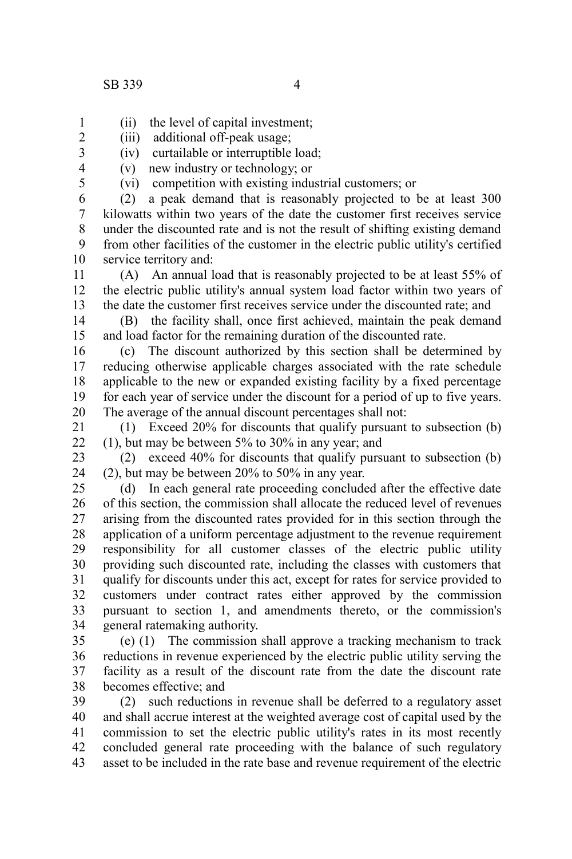- (ii) the level of capital investment; 1
- (iii) additional off-peak usage; 2
- (iv) curtailable or interruptible load; 3
- (v) new industry or technology; or 4
- 5
- (vi) competition with existing industrial customers; or

(2) a peak demand that is reasonably projected to be at least 300 kilowatts within two years of the date the customer first receives service under the discounted rate and is not the result of shifting existing demand from other facilities of the customer in the electric public utility's certified service territory and: 6 7 8 9 10

(A) An annual load that is reasonably projected to be at least 55% of the electric public utility's annual system load factor within two years of the date the customer first receives service under the discounted rate; and 11 12 13

(B) the facility shall, once first achieved, maintain the peak demand and load factor for the remaining duration of the discounted rate. 14 15

(c) The discount authorized by this section shall be determined by reducing otherwise applicable charges associated with the rate schedule applicable to the new or expanded existing facility by a fixed percentage for each year of service under the discount for a period of up to five years. The average of the annual discount percentages shall not: 16 17 18 19 20

(1) Exceed 20% for discounts that qualify pursuant to subsection (b) (1), but may be between 5% to 30% in any year; and 21 22

(2) exceed 40% for discounts that qualify pursuant to subsection (b) (2), but may be between 20% to 50% in any year. 23 24

(d) In each general rate proceeding concluded after the effective date of this section, the commission shall allocate the reduced level of revenues arising from the discounted rates provided for in this section through the application of a uniform percentage adjustment to the revenue requirement responsibility for all customer classes of the electric public utility providing such discounted rate, including the classes with customers that qualify for discounts under this act, except for rates for service provided to customers under contract rates either approved by the commission pursuant to section 1, and amendments thereto, or the commission's general ratemaking authority. 25 26 27 28 29 30 31 32 33 34

(e) (1) The commission shall approve a tracking mechanism to track reductions in revenue experienced by the electric public utility serving the facility as a result of the discount rate from the date the discount rate becomes effective; and 35 36 37 38

(2) such reductions in revenue shall be deferred to a regulatory asset and shall accrue interest at the weighted average cost of capital used by the commission to set the electric public utility's rates in its most recently concluded general rate proceeding with the balance of such regulatory asset to be included in the rate base and revenue requirement of the electric 39 40 41 42 43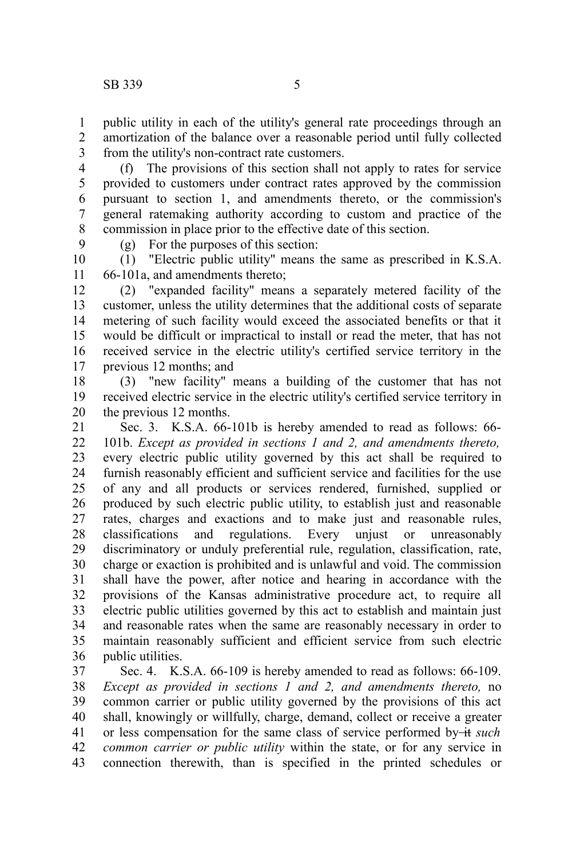public utility in each of the utility's general rate proceedings through an amortization of the balance over a reasonable period until fully collected from the utility's non-contract rate customers. 1 2 3

(f) The provisions of this section shall not apply to rates for service provided to customers under contract rates approved by the commission pursuant to section 1, and amendments thereto, or the commission's general ratemaking authority according to custom and practice of the commission in place prior to the effective date of this section. 4 5 6 7 8

9

(g) For the purposes of this section:

(1) "Electric public utility" means the same as prescribed in K.S.A. 66-101a, and amendments thereto; 10 11

(2) "expanded facility" means a separately metered facility of the customer, unless the utility determines that the additional costs of separate metering of such facility would exceed the associated benefits or that it would be difficult or impractical to install or read the meter, that has not received service in the electric utility's certified service territory in the previous 12 months; and 12 13 14 15 16 17

(3) "new facility" means a building of the customer that has not received electric service in the electric utility's certified service territory in the previous 12 months. 18 19 20

Sec. 3. K.S.A. 66-101b is hereby amended to read as follows: 66- 101b. *Except as provided in sections 1 and 2, and amendments thereto,* every electric public utility governed by this act shall be required to furnish reasonably efficient and sufficient service and facilities for the use of any and all products or services rendered, furnished, supplied or produced by such electric public utility, to establish just and reasonable rates, charges and exactions and to make just and reasonable rules, classifications and regulations. Every unjust or unreasonably discriminatory or unduly preferential rule, regulation, classification, rate, charge or exaction is prohibited and is unlawful and void. The commission shall have the power, after notice and hearing in accordance with the provisions of the Kansas administrative procedure act, to require all electric public utilities governed by this act to establish and maintain just and reasonable rates when the same are reasonably necessary in order to maintain reasonably sufficient and efficient service from such electric public utilities. 21 22 23 24 25 26 27 28 29 30 31 32 33 34 35 36

Sec. 4. K.S.A. 66-109 is hereby amended to read as follows: 66-109. *Except as provided in sections 1 and 2, and amendments thereto,* no common carrier or public utility governed by the provisions of this act shall, knowingly or willfully, charge, demand, collect or receive a greater or less compensation for the same class of service performed by-it such *common carrier or public utility* within the state, or for any service in connection therewith, than is specified in the printed schedules or 37 38 39 40 41 42 43